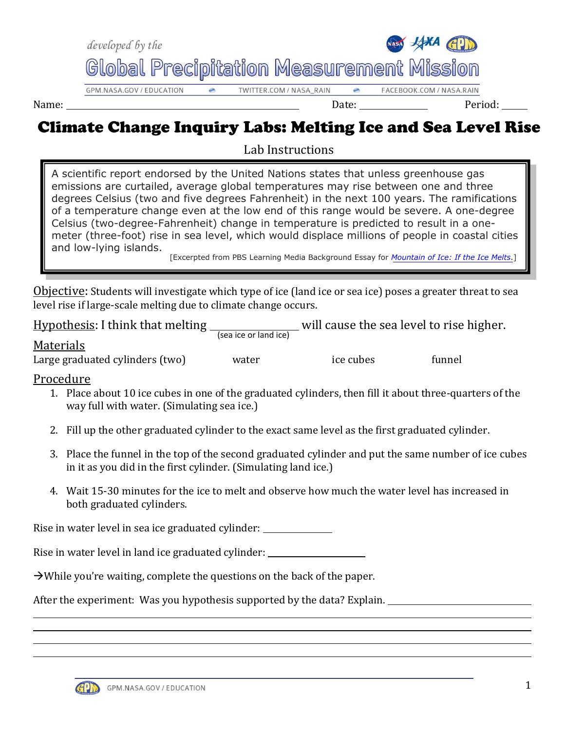

## Climate Change Inquiry Labs: Melting Ice and Sea Level Rise

Lab Instructions

A scientific report endorsed by the United Nations states that unless greenhouse gas emissions are curtailed, average global temperatures may rise between one and three degrees Celsius (two and five degrees Fahrenheit) in the next 100 years. The ramifications of a temperature change even at the low end of this range would be severe. A one-degree Celsius (two-degree-Fahrenheit) change in temperature is predicted to result in a onemeter (three-foot) rise in sea level, which would displace millions of people in coastal cities and low-lying islands.

[Excerpted from PBS Learning Media Background Essay for *[Mountain of Ice: If the Ice Melts](http://www.pbslearningmedia.org/asset/ess05_int_icemelt/)*.]

Objective: Students will investigate which type of ice (land ice or sea ice) poses a greater threat to sea level rise if large-scale melting due to climate change occurs.

| <b>Hypothesis: I think that melting</b> | will cause the sea level to rise higher.<br>(sea ice or land ice) |
|-----------------------------------------|-------------------------------------------------------------------|
|-----------------------------------------|-------------------------------------------------------------------|

| Г<br>.,<br>en<br>d.<br>O |  |
|--------------------------|--|
|                          |  |

Large graduated cylinders (two) water ice cubes funnel

## Procedure

- 1. Place about 10 ice cubes in one of the graduated cylinders, then fill it about three-quarters of the way full with water. (Simulating sea ice.)
- 2. Fill up the other graduated cylinder to the exact same level as the first graduated cylinder.
- 3. Place the funnel in the top of the second graduated cylinder and put the same number of ice cubes in it as you did in the first cylinder. (Simulating land ice.)
- 4. Wait 15-30 minutes for the ice to melt and observe how much the water level has increased in both graduated cylinders.

Rise in water level in sea ice graduated cylinder:

Rise in water level in land ice graduated cylinder:

 $\rightarrow$  While you're waiting, complete the questions on the back of the paper.

After the experiment: Was you hypothesis supported by the data? Explain.